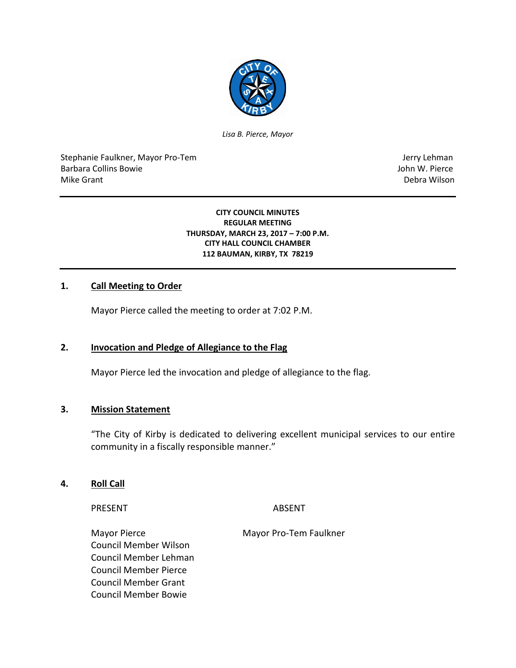

*Lisa B. Pierce, Mayor*

Stephanie Faulkner, Mayor Pro-Tem Jerry Lehman Barbara Collins Bowie John W. Pierce Mike Grant **Debra Wilson** 

#### **CITY COUNCIL MINUTES REGULAR MEETING THURSDAY, MARCH 23, 2017 – 7:00 P.M. CITY HALL COUNCIL CHAMBER 112 BAUMAN, KIRBY, TX 78219**

### **1. Call Meeting to Order**

Mayor Pierce called the meeting to order at 7:02 P.M.

### **2. Invocation and Pledge of Allegiance to the Flag**

Mayor Pierce led the invocation and pledge of allegiance to the flag.

## **3. Mission Statement**

"The City of Kirby is dedicated to delivering excellent municipal services to our entire community in a fiscally responsible manner."

#### **4. Roll Call**

PRESENT ABSENT

Mayor Pierce Mayor Pro-Tem Faulkner Council Member Wilson Council Member Lehman Council Member Pierce Council Member Grant Council Member Bowie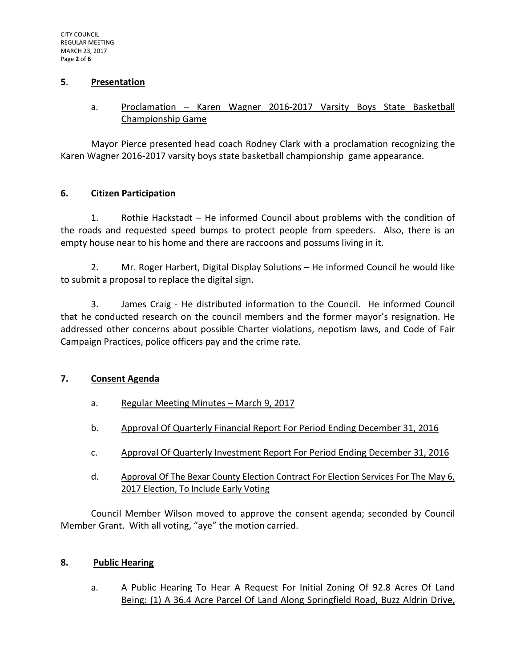### **5**. **Presentation**

# a. Proclamation - Karen Wagner 2016-2017 Varsity Boys State Basketball Championship Game

Mayor Pierce presented head coach Rodney Clark with a proclamation recognizing the Karen Wagner 2016-2017 varsity boys state basketball championship game appearance.

# **6. Citizen Participation**

1. Rothie Hackstadt – He informed Council about problems with the condition of the roads and requested speed bumps to protect people from speeders. Also, there is an empty house near to his home and there are raccoons and possums living in it.

2. Mr. Roger Harbert, Digital Display Solutions – He informed Council he would like to submit a proposal to replace the digital sign.

3. James Craig - He distributed information to the Council. He informed Council that he conducted research on the council members and the former mayor's resignation. He addressed other concerns about possible Charter violations, nepotism laws, and Code of Fair Campaign Practices, police officers pay and the crime rate.

### **7. Consent Agenda**

- a. Regular Meeting Minutes March 9, 2017
- b. Approval Of Quarterly Financial Report For Period Ending December 31, 2016
- c. Approval Of Quarterly Investment Report For Period Ending December 31, 2016
- d. Approval Of The Bexar County Election Contract For Election Services For The May 6, 2017 Election, To Include Early Voting

Council Member Wilson moved to approve the consent agenda; seconded by Council Member Grant. With all voting, "aye" the motion carried.

### **8. Public Hearing**

a. A Public Hearing To Hear A Request For Initial Zoning Of 92.8 Acres Of Land Being: (1) A 36.4 Acre Parcel Of Land Along Springfield Road, Buzz Aldrin Drive,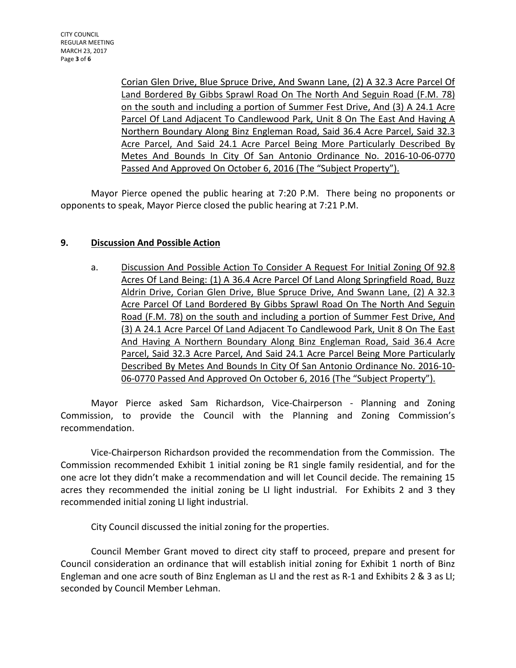Corian Glen Drive, Blue Spruce Drive, And Swann Lane, (2) A 32.3 Acre Parcel Of Land Bordered By Gibbs Sprawl Road On The North And Seguin Road (F.M. 78) on the south and including a portion of Summer Fest Drive, And (3) A 24.1 Acre Parcel Of Land Adjacent To Candlewood Park, Unit 8 On The East And Having A Northern Boundary Along Binz Engleman Road, Said 36.4 Acre Parcel, Said 32.3 Acre Parcel, And Said 24.1 Acre Parcel Being More Particularly Described By Metes And Bounds In City Of San Antonio Ordinance No. 2016-10-06-0770 Passed And Approved On October 6, 2016 (The "Subject Property").

Mayor Pierce opened the public hearing at 7:20 P.M. There being no proponents or opponents to speak, Mayor Pierce closed the public hearing at 7:21 P.M.

# **9. Discussion And Possible Action**

a. Discussion And Possible Action To Consider A Request For Initial Zoning Of 92.8 Acres Of Land Being: (1) A 36.4 Acre Parcel Of Land Along Springfield Road, Buzz Aldrin Drive, Corian Glen Drive, Blue Spruce Drive, And Swann Lane, (2) A 32.3 Acre Parcel Of Land Bordered By Gibbs Sprawl Road On The North And Seguin Road (F.M. 78) on the south and including a portion of Summer Fest Drive, And (3) A 24.1 Acre Parcel Of Land Adjacent To Candlewood Park, Unit 8 On The East And Having A Northern Boundary Along Binz Engleman Road, Said 36.4 Acre Parcel, Said 32.3 Acre Parcel, And Said 24.1 Acre Parcel Being More Particularly Described By Metes And Bounds In City Of San Antonio Ordinance No. 2016-10- 06-0770 Passed And Approved On October 6, 2016 (The "Subject Property").

Mayor Pierce asked Sam Richardson, Vice-Chairperson - Planning and Zoning Commission, to provide the Council with the Planning and Zoning Commission's recommendation.

Vice-Chairperson Richardson provided the recommendation from the Commission. The Commission recommended Exhibit 1 initial zoning be R1 single family residential, and for the one acre lot they didn't make a recommendation and will let Council decide. The remaining 15 acres they recommended the initial zoning be LI light industrial. For Exhibits 2 and 3 they recommended initial zoning LI light industrial.

City Council discussed the initial zoning for the properties.

Council Member Grant moved to direct city staff to proceed, prepare and present for Council consideration an ordinance that will establish initial zoning for Exhibit 1 north of Binz Engleman and one acre south of Binz Engleman as LI and the rest as R-1 and Exhibits 2 & 3 as LI; seconded by Council Member Lehman.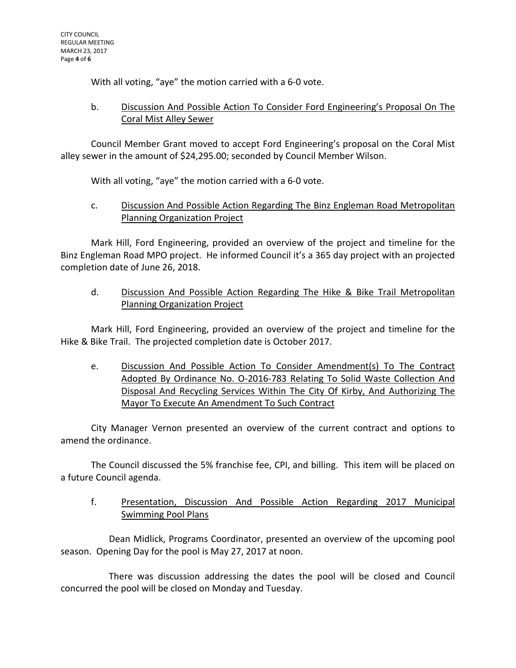With all voting, "aye" the motion carried with a 6-0 vote.

# b. Discussion And Possible Action To Consider Ford Engineering's Proposal On The Coral Mist Alley Sewer

Council Member Grant moved to accept Ford Engineering's proposal on the Coral Mist alley sewer in the amount of \$24,295.00; seconded by Council Member Wilson.

With all voting, "aye" the motion carried with a 6-0 vote.

c. Discussion And Possible Action Regarding The Binz Engleman Road Metropolitan Planning Organization Project

Mark Hill, Ford Engineering, provided an overview of the project and timeline for the Binz Engleman Road MPO project. He informed Council it's a 365 day project with an projected completion date of June 26, 2018.

d. Discussion And Possible Action Regarding The Hike & Bike Trail Metropolitan Planning Organization Project

Mark Hill, Ford Engineering, provided an overview of the project and timeline for the Hike & Bike Trail. The projected completion date is October 2017.

e. Discussion And Possible Action To Consider Amendment(s) To The Contract Adopted By Ordinance No. O-2016-783 Relating To Solid Waste Collection And Disposal And Recycling Services Within The City Of Kirby, And Authorizing The Mayor To Execute An Amendment To Such Contract

City Manager Vernon presented an overview of the current contract and options to amend the ordinance.

The Council discussed the 5% franchise fee, CPI, and billing. This item will be placed on a future Council agenda.

f. Presentation, Discussion And Possible Action Regarding 2017 Municipal Swimming Pool Plans

Dean Midlick, Programs Coordinator, presented an overview of the upcoming pool season. Opening Day for the pool is May 27, 2017 at noon.

There was discussion addressing the dates the pool will be closed and Council concurred the pool will be closed on Monday and Tuesday.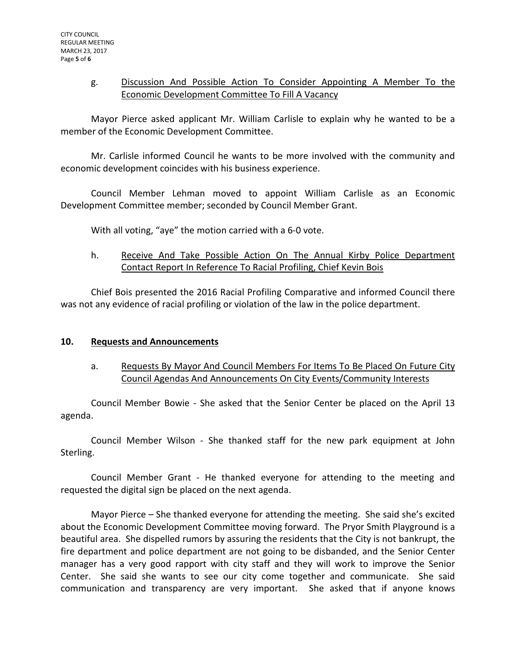# g. Discussion And Possible Action To Consider Appointing A Member To the Economic Development Committee To Fill A Vacancy

Mayor Pierce asked applicant Mr. William Carlisle to explain why he wanted to be a member of the Economic Development Committee.

Mr. Carlisle informed Council he wants to be more involved with the community and economic development coincides with his business experience.

Council Member Lehman moved to appoint William Carlisle as an Economic Development Committee member; seconded by Council Member Grant.

With all voting, "aye" the motion carried with a 6-0 vote.

h. Receive And Take Possible Action On The Annual Kirby Police Department Contact Report In Reference To Racial Profiling, Chief Kevin Bois

Chief Bois presented the 2016 Racial Profiling Comparative and informed Council there was not any evidence of racial profiling or violation of the law in the police department.

### **10. Requests and Announcements**

a. Requests By Mayor And Council Members For Items To Be Placed On Future City Council Agendas And Announcements On City Events/Community Interests

Council Member Bowie - She asked that the Senior Center be placed on the April 13 agenda.

Council Member Wilson - She thanked staff for the new park equipment at John Sterling.

Council Member Grant - He thanked everyone for attending to the meeting and requested the digital sign be placed on the next agenda.

Mayor Pierce – She thanked everyone for attending the meeting. She said she's excited about the Economic Development Committee moving forward. The Pryor Smith Playground is a beautiful area. She dispelled rumors by assuring the residents that the City is not bankrupt, the fire department and police department are not going to be disbanded, and the Senior Center manager has a very good rapport with city staff and they will work to improve the Senior Center. She said she wants to see our city come together and communicate. She said communication and transparency are very important. She asked that if anyone knows